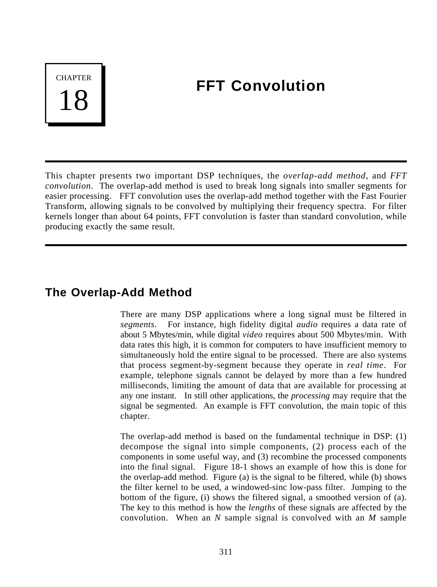# **CHAPTER**

# **FFT Convolution**

This chapter presents two important DSP techniques, the *overlap-add method*, and *FFT convolution*. The overlap-add method is used to break long signals into smaller segments for easier processing. FFT convolution uses the overlap-add method together with the Fast Fourier Transform, allowing signals to be convolved by multiplying their frequency spectra. For filter kernels longer than about 64 points, FFT convolution is faster than standard convolution, while producing exactly the same result.

## **The Overlap-Add Method**

There are many DSP applications where a long signal must be filtered in *segments*. For instance, high fidelity digital *audio* requires a data rate of about 5 Mbytes/min, while digital *video* requires about 500 Mbytes/min. With data rates this high, it is common for computers to have insufficient memory to simultaneously hold the entire signal to be processed. There are also systems that process segment-by-segment because they operate in *real time*. For example, telephone signals cannot be delayed by more than a few hundred milliseconds, limiting the amount of data that are available for processing at any one instant. In still other applications, the *processing* may require that the signal be segmented. An example is FFT convolution, the main topic of this chapter.

The overlap-add method is based on the fundamental technique in DSP: (1) decompose the signal into simple components, (2) process each of the components in some useful way, and (3) recombine the processed components into the final signal. Figure 18-1 shows an example of how this is done for the overlap-add method. Figure (a) is the signal to be filtered, while (b) shows the filter kernel to be used, a windowed-sinc low-pass filter. Jumping to the bottom of the figure, (i) shows the filtered signal, a smoothed version of (a). The key to this method is how the *lengths* of these signals are affected by the convolution. When an *N* sample signal is convolved with an *M* sample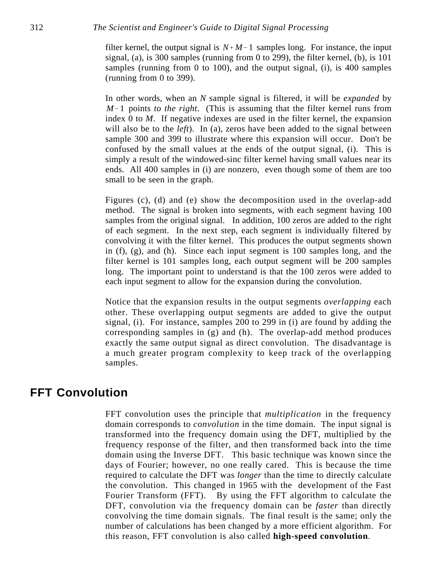filter kernel, the output signal is  $N+M-1$  samples long. For instance, the input signal, (a), is 300 samples (running from 0 to 299), the filter kernel, (b), is 101 samples (running from 0 to 100), and the output signal, (i), is 400 samples (running from 0 to 399).

In other words, when an *N* sample signal is filtered, it will be *expanded* by  $M-1$  points *to the right*. (This is assuming that the filter kernel runs from index 0 to *M*. If negative indexes are used in the filter kernel, the expansion will also be to the *left*). In (a), zeros have been added to the signal between sample 300 and 399 to illustrate where this expansion will occur. Don't be confused by the small values at the ends of the output signal, (i). This is simply a result of the windowed-sinc filter kernel having small values near its ends. All 400 samples in (i) are nonzero, even though some of them are too small to be seen in the graph.

Figures (c), (d) and (e) show the decomposition used in the overlap-add method. The signal is broken into segments, with each segment having 100 samples from the original signal. In addition, 100 zeros are added to the right of each segment. In the next step, each segment is individually filtered by convolving it with the filter kernel. This produces the output segments shown in (f), (g), and (h). Since each input segment is 100 samples long, and the filter kernel is 101 samples long, each output segment will be 200 samples long. The important point to understand is that the 100 zeros were added to each input segment to allow for the expansion during the convolution.

Notice that the expansion results in the output segments *overlapping* each other. These overlapping output segments are added to give the output signal, (i). For instance, samples 200 to 299 in (i) are found by adding the corresponding samples in (g) and (h). The overlap-add method produces exactly the same output signal as direct convolution. The disadvantage is a much greater program complexity to keep track of the overlapping samples.

### **FFT Convolution**

FFT convolution uses the principle that *multiplication* in the frequency domain corresponds to *convolution* in the time domain. The input signal is transformed into the frequency domain using the DFT, multiplied by the frequency response of the filter, and then transformed back into the time domain using the Inverse DFT. This basic technique was known since the days of Fourier; however, no one really cared. This is because the time required to calculate the DFT was *longer* than the time to directly calculate the convolution. This changed in 1965 with the development of the Fast Fourier Transform (FFT). By using the FFT algorithm to calculate the DFT, convolution via the frequency domain can be *faster* than directly convolving the time domain signals. The final result is the same; only the number of calculations has been changed by a more efficient algorithm. For this reason, FFT convolution is also called **high-speed convolution**.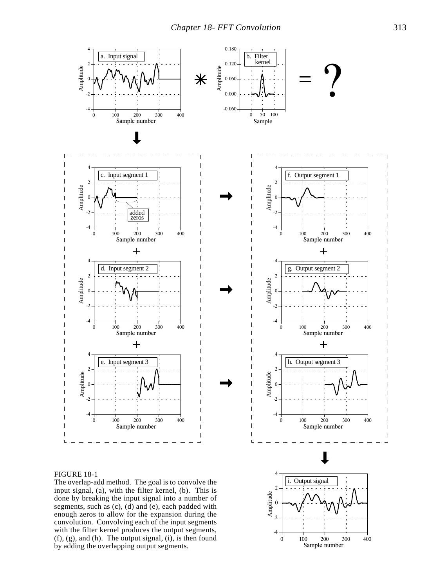

Sample number 0 100 200 300 400

-4 -2

done by breaking the input signal into a number of segments, such as (c), (d) and (e), each padded with enough zeros to allow for the expansion during the convolution. Convolving each of the input segments with the filter kernel produces the output segments,  $(f)$ ,  $(g)$ , and  $(h)$ . The output signal,  $(i)$ , is then found by adding the overlapping output segments.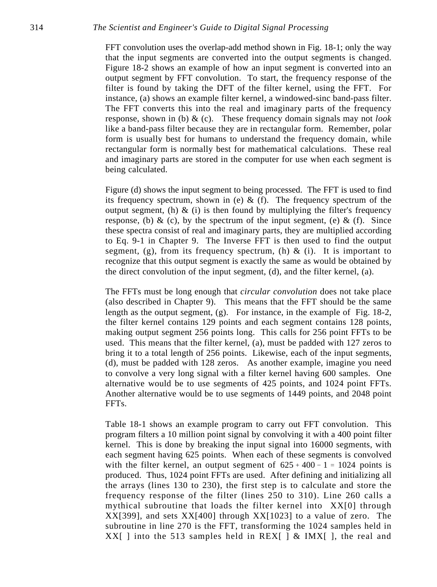FFT convolution uses the overlap-add method shown in Fig. 18-1; only the way that the input segments are converted into the output segments is changed. Figure 18-2 shows an example of how an input segment is converted into an output segment by FFT convolution. To start, the frequency response of the filter is found by taking the DFT of the filter kernel, using the FFT. For instance, (a) shows an example filter kernel, a windowed-sinc band-pass filter. The FFT converts this into the real and imaginary parts of the frequency response, shown in (b) & (c). These frequency domain signals may not *look* like a band-pass filter because they are in rectangular form. Remember, polar form is usually best for humans to understand the frequency domain, while rectangular form is normally best for mathematical calculations. These real and imaginary parts are stored in the computer for use when each segment is being calculated.

Figure (d) shows the input segment to being processed. The FFT is used to find its frequency spectrum, shown in (e)  $\&$  (f). The frequency spectrum of the output segment, (h)  $\&$  (i) is then found by multiplying the filter's frequency response, (b)  $\&$  (c), by the spectrum of the input segment, (e)  $\&$  (f). Since these spectra consist of real and imaginary parts, they are multiplied according to Eq. 9-1 in Chapter 9. The Inverse FFT is then used to find the output segment, (g), from its frequency spectrum, (h)  $\&$  (i). It is important to recognize that this output segment is exactly the same as would be obtained by the direct convolution of the input segment, (d), and the filter kernel, (a).

The FFTs must be long enough that *circular convolution* does not take place (also described in Chapter 9). This means that the FFT should be the same length as the output segment,  $(g)$ . For instance, in the example of Fig. 18-2, the filter kernel contains 129 points and each segment contains 128 points, making output segment 256 points long. This calls for 256 point FFTs to be used. This means that the filter kernel, (a), must be padded with 127 zeros to bring it to a total length of 256 points. Likewise, each of the input segments, (d), must be padded with 128 zeros. As another example, imagine you need to convolve a very long signal with a filter kernel having 600 samples. One alternative would be to use segments of 425 points, and 1024 point FFTs. Another alternative would be to use segments of 1449 points, and 2048 point FFTs.

Table 18-1 shows an example program to carry out FFT convolution. This program filters a 10 million point signal by convolving it with a 400 point filter kernel. This is done by breaking the input signal into 16000 segments, with each segment having 625 points. When each of these segments is convolved with the filter kernel, an output segment of  $625 + 400 - 1 = 1024$  points is produced. Thus, 1024 point FFTs are used. After defining and initializing all the arrays (lines 130 to 230), the first step is to calculate and store the frequency response of the filter (lines 250 to 310). Line 260 calls a mythical subroutine that loads the filter kernel into XX[0] through XX[399], and sets XX[400] through XX[1023] to a value of zero. The subroutine in line 270 is the FFT, transforming the 1024 samples held in XX[ ] into the 513 samples held in REX[ ] & IMX[ ], the real and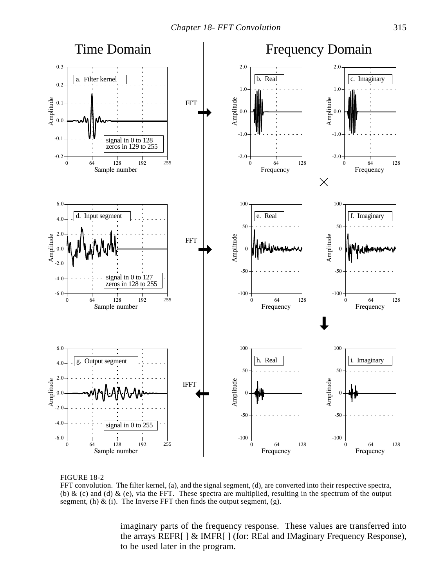



FFT convolution. The filter kernel, (a), and the signal segment, (d), are converted into their respective spectra, (b)  $\&$  (c) and (d)  $\&$  (e), via the FFT. These spectra are multiplied, resulting in the spectrum of the output segment,  $(h)$  &  $(i)$ . The Inverse FFT then finds the output segment,  $(g)$ .

imaginary parts of the frequency response. These values are transferred into the arrays REFR[ ] & IMFR[ ] (for: REal and IMaginary Frequency Response), to be used later in the program.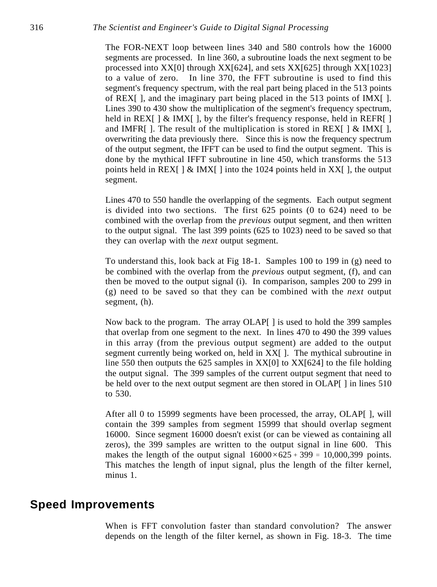The FOR-NEXT loop between lines 340 and 580 controls how the 16000 segments are processed. In line 360, a subroutine loads the next segment to be processed into XX[0] through XX[624], and sets XX[625] through XX[1023] to a value of zero. In line 370, the FFT subroutine is used to find this segment's frequency spectrum, with the real part being placed in the 513 points of REX[ ], and the imaginary part being placed in the 513 points of IMX[ ]. Lines 390 to 430 show the multiplication of the segment's frequency spectrum, held in REX $[ \ ] \& \text{IMX} [ \ ]$ , by the filter's frequency response, held in REFR $[ \ ]$ and IMFR[ ]. The result of the multiplication is stored in REX[ ]  $\&$  IMX[ ], overwriting the data previously there. Since this is now the frequency spectrum of the output segment, the IFFT can be used to find the output segment. This is done by the mythical IFFT subroutine in line 450, which transforms the 513 points held in REX[ ] & IMX[ ] into the 1024 points held in XX[ ], the output segment.

Lines 470 to 550 handle the overlapping of the segments. Each output segment is divided into two sections. The first 625 points (0 to 624) need to be combined with the overlap from the *previous* output segment, and then written to the output signal. The last 399 points (625 to 1023) need to be saved so that they can overlap with the *next* output segment.

To understand this, look back at Fig 18-1. Samples 100 to 199 in (g) need to be combined with the overlap from the *previous* output segment, (f), and can then be moved to the output signal (i). In comparison, samples 200 to 299 in (g) need to be saved so that they can be combined with the *next* output segment, (h).

Now back to the program. The array OLAP[ ] is used to hold the 399 samples that overlap from one segment to the next. In lines 470 to 490 the 399 values in this array (from the previous output segment) are added to the output segment currently being worked on, held in XX[ ]. The mythical subroutine in line 550 then outputs the 625 samples in XX[0] to XX[624] to the file holding the output signal. The 399 samples of the current output segment that need to be held over to the next output segment are then stored in OLAP[ ] in lines 510 to 530.

After all 0 to 15999 segments have been processed, the array, OLAP[ ], will contain the 399 samples from segment 15999 that should overlap segment 16000. Since segment 16000 doesn't exist (or can be viewed as containing all zeros), the 399 samples are written to the output signal in line 600. This makes the length of the output signal  $16000 \times 625 + 399 = 10,000,399$  points. This matches the length of input signal, plus the length of the filter kernel, minus 1.

#### **Speed Improvements**

When is FFT convolution faster than standard convolution? The answer depends on the length of the filter kernel, as shown in Fig. 18-3. The time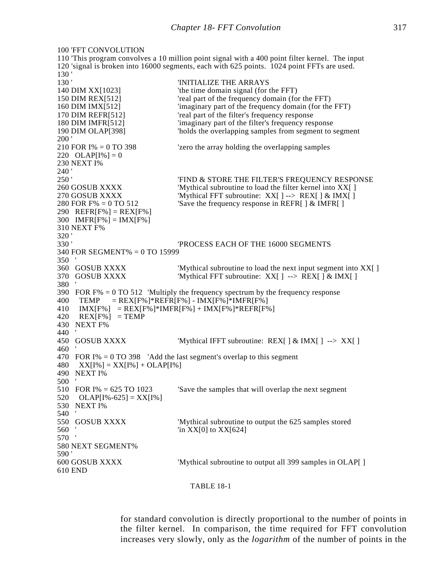100 'FFT CONVOLUTION

110 'This program convolves a 10 million point signal with a 400 point filter kernel. The input 120 'signal is broken into 16000 segments, each with 625 points. 1024 point FFTs are used. 130 ' 130 ' 'INITIALIZE THE ARRAYS<br>140 DIM XX[1023] 'the time domain signal (for 140 DIM XX[1023]  $\frac{150 \text{ DIM REX}[512]}{\text{real part of the frequency domain (fo)}}$ 'real part of the frequency domain (for the FFT) 160 DIM IMX[512] 'imaginary part of the frequency domain (for the FFT) 170 DIM REFR[512] 'real part of the filter's frequency response 180 DIM IMFR[512] 'imaginary part of the filter's frequency response<br>190 DIM OLAP[398] 'holds the overlapping samples from segment to "holds the overlapping samples from segment to segment" 200 ' 210 FOR I% = 0 TO 398 'zero the array holding the overlapping samples 220 OLAP $[I\%] = 0$ 230 NEXT I%  $240'$ <br> $250'$ 'FIND & STORE THE FILTER'S FREQUENCY RESPONSE 260 GOSUB XXXX <sup>'Mythical subroutine to load the filter kernel into XX[]</sup> 270 GOSUB XXXX 'Mythical FFT subroutine: XX[ ] --> REX[ ] & IMX[ ] 280 FOR F% = 0 TO 512 'Save the frequency response in REFR[  $\alpha$  IMFR[ ] 290  $REFR[ F\% ] = REX[ F\% ]$ 300 IMFR $[F\%] =$  IMX $[F\%]$ 310 NEXT F% 320 ' 330 ' 'PROCESS EACH OF THE 16000 SEGMENTS 340 FOR SEGMENT% = 0 TO 15999 350 ' 360 GOSUB XXXX 'Mythical subroutine to load the next input segment into XX[ ] 370 GOSUB XXXX 'Mythical FFT subroutine: XX[ ] --> REX[ ] & IMX[ ] 380 ' 390 FOR  $F% = 0$  TO 512 'Multiply the frequency spectrum by the frequency response 400 TEMP =  $REX[ F\% ] * REFR[ F\% ] - IMX[ F\% ] * IMFR[ F\% ]$ <br>410 IMX[F%] =  $REX[ F\% ] * IMFR[ F\% ] + IMX[ F\% ] * REFR[ F\% ]$  $IMX[ F\% ] = REX[ F\% ] * IMFR[ F\% ] + IMX[ F\% ] * REFR[ F\% ]$  $420$  REX[F%] = TEMP 430 NEXT F% 440 <br>450 GOSUB XXXX 'Mythical IFFT subroutine: REX[  $\parallel \hat{\mathcal{X}}$  IMX[  $\parallel$  --> XX[ ] 460 ' 470 FOR  $I% = 0$  TO 398 'Add the last segment's overlap to this segment  $480$   $XX[I\%] = XX[I\%] + OLAP[I\%]$ 490 NEXT I% 500 ' 510 FOR I% = 625 TO 1023 'Save the samples that will overlap the next segment  $520 \quad OLAP[1\% - 625] = XX[1\%]$ 530 NEXT I% 540 <br>550 GOSUB XXXX 550 GOSUB XXXX <br>
The Mythical subroutine to output the 625 samples stored<br>
Yin XX[0] to XX[624] 'in  $XX[0]$  to  $XX[624]$ 570 ' 580 NEXT SEGMENT% 590 ' 600 GOSUB XXXX 'Mythical subroutine to output all 399 samples in OLAP[ ] 610 END

```
 TABLE 18-1
```
for standard convolution is directly proportional to the number of points in the filter kernel. In comparison, the time required for FFT convolution increases very slowly, only as the *logarithm* of the number of points in the